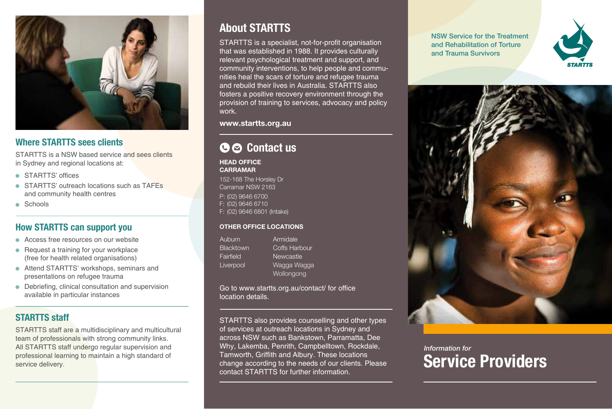

# Where STARTTS sees clients

STARTTS is a NSW based service and sees clients in Sydney and regional locations at:

- **STARTTS' offices**
- $\bullet$  STARTTS' outreach locations such as  $TAFFs$ and community health centres
- **•** Schools

# How STARTTS can support you

- $\bullet$  Access free resources on our website
- $\bullet$  Request a training for your workplace (free for health related organisations)
- Attend STARTTS' workshops, seminars and presentations on refugee trauma
- $\bullet$  Debriefing, clinical consultation and supervision available in particular instances

# **STARTTS staff**

STARTTS staff are a multidisciplinary and multicultural team of professionals with strong community links. All STARTTS staff undergo regular supervision and professional learning to maintain a high standard of

# **About STARTTS**

STARTTS is a specialist, not-for-profit organisation that was established in 1988. It provides culturally relevant psychological treatment and support, and nities heal the scars of torture and refugee trauma community interventions, to help people and commuand rebuild their lives in Australia. STARTTS also fosters a positive recovery environment through the provision of training to services, advocacy and policy .work

www.startts.org.au

# G  $\odot$  Contact us

**HEAD OFFICE CARRAMAR** 

152-168 The Horsley Dr Carramar NSW 2163 P: (02) 9646 6700 F: (02) 9646 6710 F: (02) 9646 6801 (Intake)

#### **OTHER OFFICE LOCATIONS**

Auburn **Blacktown** Fairfield **Liverpool** Armidale

Coffs Harbour **Newcastle** Wagga Wagga Wollongong

Go to www.startts.org.au/contact/ for office location details.

professional learning to maintain a high standard of **Service delivery.**<br>Service delivery. **Service** delivery service delivery. STARTTS also provides counselling and other types of services at outreach locations in Sydney and across NSW such as Bankstown. Parramatta, Dee Why, Lakemba, Penrith, Campbelltown, Rockdale, Tamworth, Griffith and Albury. These locations change according to the needs of our clients. Please contact STARTTS for further information.

NSW Service for the Treatment and Rehabilitation of Torture and Trauma Survivors





# *Information* for